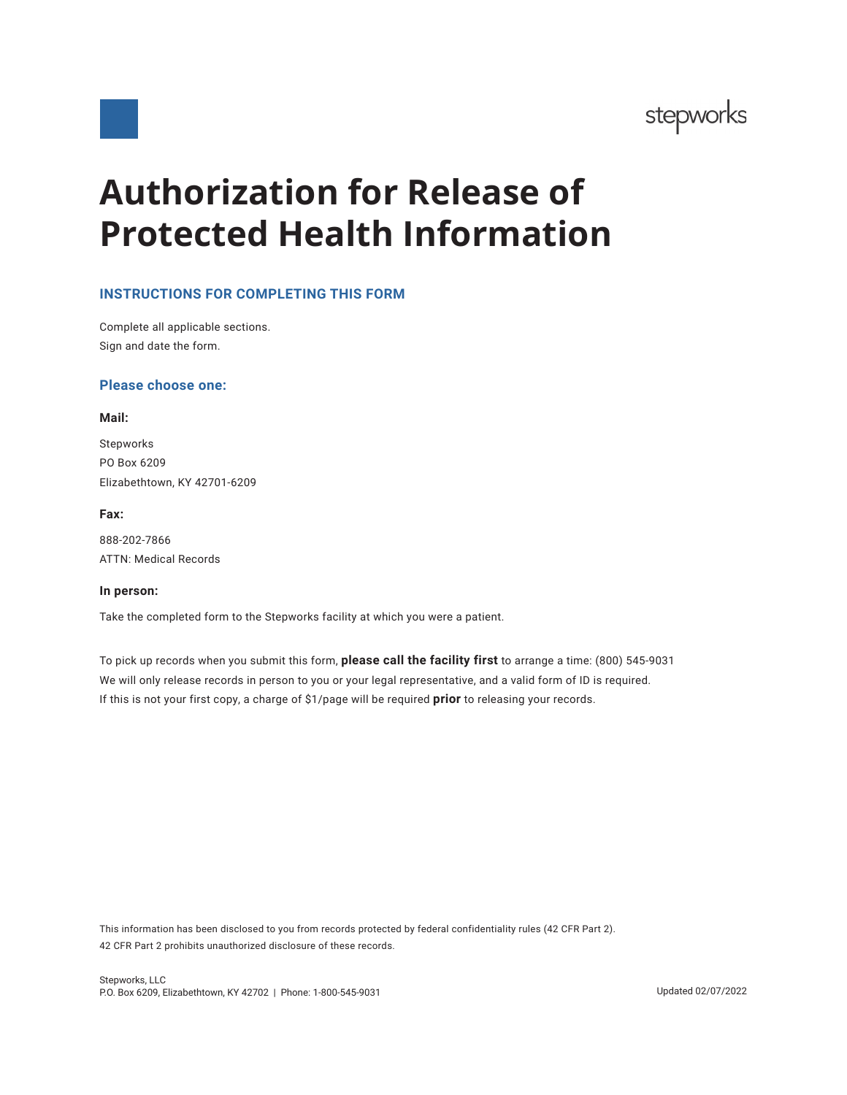

**Authorization for Release of Protected Health Information**

# **INSTRUCTIONS FOR COMPLETING THIS FORM**

Complete all applicable sections. Sign and date the form.

## **Please choose one:**

#### **Mail:**

Stepworks PO Box 6209 Elizabethtown, KY 42701-6209

## **Fax:**

888-202-7866 ATTN: Medical Records

#### **In person:**

Take the completed form to the Stepworks facility at which you were a patient.

To pick up records when you submit this form, **please call the facility first** to arrange a time: (800) 545-9031 We will only release records in person to you or your legal representative, and a valid form of ID is required. If this is not your first copy, a charge of \$1/page will be required **prior** to releasing your records.

This information has been disclosed to you from records protected by federal confidentiality rules (42 CFR Part 2). 42 CFR Part 2 prohibits unauthorized disclosure of these records.